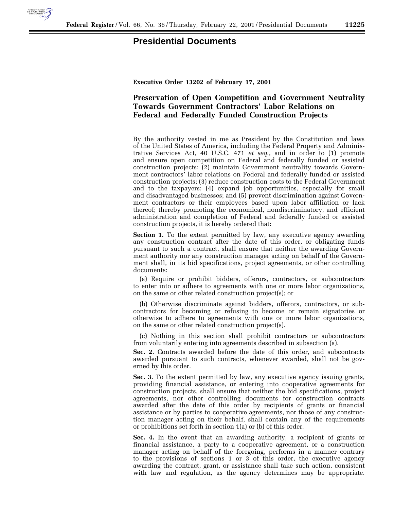

## **Presidential Documents**

**Executive Order 13202 of February 17, 2001**

## **Preservation of Open Competition and Government Neutrality Towards Government Contractors' Labor Relations on Federal and Federally Funded Construction Projects**

By the authority vested in me as President by the Constitution and laws of the United States of America, including the Federal Property and Administrative Services Act, 40 U.S.C. 471 *et seq*., and in order to (1) promote and ensure open competition on Federal and federally funded or assisted construction projects; (2) maintain Government neutrality towards Government contractors' labor relations on Federal and federally funded or assisted construction projects; (3) reduce construction costs to the Federal Government and to the taxpayers; (4) expand job opportunities, especially for small and disadvantaged businesses; and (5) prevent discrimination against Government contractors or their employees based upon labor affiliation or lack thereof; thereby promoting the economical, nondiscriminatory, and efficient administration and completion of Federal and federally funded or assisted construction projects, it is hereby ordered that:

**Section 1.** To the extent permitted by law, any executive agency awarding any construction contract after the date of this order, or obligating funds pursuant to such a contract, shall ensure that neither the awarding Government authority nor any construction manager acting on behalf of the Government shall, in its bid specifications, project agreements, or other controlling documents:

(a) Require or prohibit bidders, offerors, contractors, or subcontractors to enter into or adhere to agreements with one or more labor organizations, on the same or other related construction project(s); or

(b) Otherwise discriminate against bidders, offerors, contractors, or subcontractors for becoming or refusing to become or remain signatories or otherwise to adhere to agreements with one or more labor organizations, on the same or other related construction project(s).

(c) Nothing in this section shall prohibit contractors or subcontractors from voluntarily entering into agreements described in subsection (a).

**Sec. 2.** Contracts awarded before the date of this order, and subcontracts awarded pursuant to such contracts, whenever awarded, shall not be governed by this order.

**Sec. 3.** To the extent permitted by law, any executive agency issuing grants, providing financial assistance, or entering into cooperative agreements for construction projects, shall ensure that neither the bid specifications, project agreements, nor other controlling documents for construction contracts awarded after the date of this order by recipients of grants or financial assistance or by parties to cooperative agreements, nor those of any construction manager acting on their behalf, shall contain any of the requirements or prohibitions set forth in section 1(a) or (b) of this order.

**Sec. 4.** In the event that an awarding authority, a recipient of grants or financial assistance, a party to a cooperative agreement, or a construction manager acting on behalf of the foregoing, performs in a manner contrary to the provisions of sections 1 or 3 of this order, the executive agency awarding the contract, grant, or assistance shall take such action, consistent with law and regulation, as the agency determines may be appropriate.